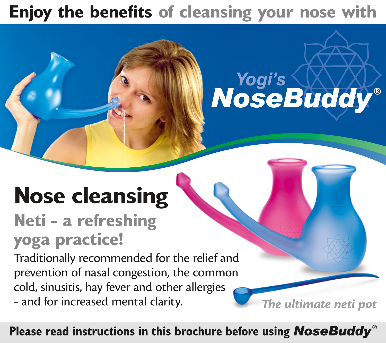# **Enjoy the benefits of cleansing your nose with**

# Yogi's WAY

# **Nose cleansing**

# **Neti – a refreshing yoga practice!**

Traditionally recommended for the relief and prevention of nasal congestion, the common cold, sinusitis, hay fever and other allergies – and for increased mental clarity.

*The ultimate neti pot*

Please read instructions in this brochure before using **NoseBuddy**<sup>®</sup>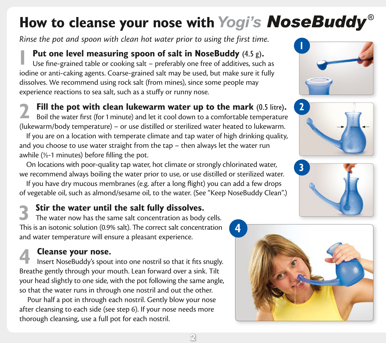## How to cleanse your nose with Yogi's **NoseBuddy**<sup>®</sup>

*Rinse the pot and spoon with clean hot water prior to using the first time.*

**Put one level measuring spoon of salt in NoseBuddy** (4.5 g).

Use fine–grained table or cooking salt – preferably one free of additives, such as iodine or anti–caking agents. Coarse–grained salt may be used, but make sure it fully dissolves. We recommend using rock salt (from mines), since some people may experience reactions to sea salt, such as a stuffy or runny nose.

**2 Fill the pot with clean lukewarm water up to the mark** (0.5 litre)**.** 

Boil the water first (for 1 minute) and let it cool down to a comfortable temperature (lukewarm/body temperature) – or use distilled or sterilized water heated to lukewarm.

If you are on a location with temperate climate and tap water of high drinking quality, and you choose to use water straight from the tap – then always let the water run awhile (½–1 minutes) before filling the pot.

On locations with poor–quality tap water, hot climate or strongly chlorinated water, we recommend always boiling the water prior to use, or use distilled or sterilized water.

If you have dry mucous membranes (e.g. after a long flight) you can add a few drops of vegetable oil, such as almond/sesame oil, to the water. (See "Keep NoseBuddy Clean".)

#### **3 Stir the water until the salt fully dissolves.**

The water now has the same salt concentration as body cells. This is an isotonic solution (0.9% salt). The correct salt concentration and water temperature will ensure a pleasant experience.

**4 Cleanse your nose.**<br>Insert NoseBuddy's spout into one nostril so that it fits snugly. Breathe gently through your mouth. Lean forward over a sink. Tilt your head slightly to one side, with the pot following the same angle, so that the water runs in through one nostril and out the other.

Pour half a pot in through each nostril. Gently blow your nose after cleansing to each side (see step 6). If your nose needs more thorough cleansing, use a full pot for each nostril.







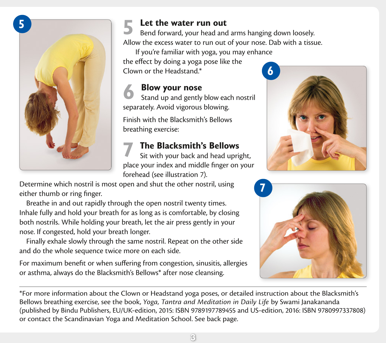

**5 Let the water run out**<br>
Bend forward, your head and arms hanging down loosely. Allow the excess water to run out of your nose. Dab with a tissue.

If you're familiar with yoga, you may enhance the effect by doing a yoga pose like the Clown or the Headstand.\*

**6 Blow your nose**<br> **6** Stand up and gently blow each nostril separately. Avoid vigorous blowing.

Finish with the Blacksmith's Bellows breathing exercise:

**7 The Blacksmith's Bellows**<br>Sit with your back and head upright, place your index and middle finger on your forehead (see illustration 7).

Determine which nostril is most open and shut the other nostril, using either thumb or ring finger.

Breathe in and out rapidly through the open nostril twenty times. Inhale fully and hold your breath for as long as is comfortable, by closing both nostrils. While holding your breath, let the air press gently in your nose. If congested, hold your breath longer.

Finally exhale slowly through the same nostril. Repeat on the other side and do the whole sequence twice more on each side.

For maximum benefit or when suffering from congestion, sinusitis, allergies or asthma, always do the Blacksmith's Bellows\* after nose cleansing.





\*For more information about the Clown or Headstand yoga poses, or detailed instruction about the Blacksmith's Bellows breathing exercise, see the book, *Yoga, Tantra and Meditation in Daily Life* by Swami Janakananda (published by Bindu Publishers, EU/UK–edition, 2015: ISBN 9789197789455 and US–edition, 2016: ISBN 9780997337808) or contact the Scandinavian Yoga and Meditation School. See back page.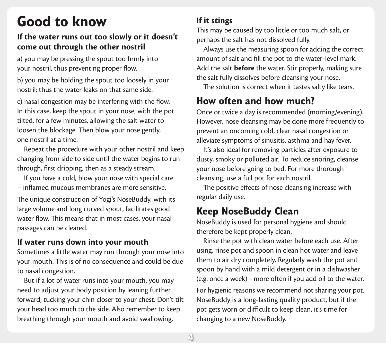## **Good to know**

#### **If the water runs out too slowly or it doesn't come out through the other nostril**

a) you may be pressing the spout too firmly into your nostril, thus preventing proper flow.

b) you may be holding the spout too loosely in your nostril; thus the water leaks on that same side.

c) nasal congestion may be interfering with the flow. In this case, keep the spout in your nose, with the pot tilted, for a few minutes, allowing the salt water to loosen the blockage. Then blow your nose gently, one nostril at a time.

Repeat the procedure with your other nostril and keep changing from side to side until the water begins to run through, first dripping, then as a steady stream.

If you have a cold, blow your nose with special care – inflamed mucous membranes are more sensitive.

The unique construction of Yogi's NoseBuddy, with its large volume and long curved spout, facilitates good water flow. This means that in most cases, your nasal passages can be cleared.

#### **If water runs down into your mouth**

Sometimes a little water may run through your nose into your mouth. This is of no consequence and could be due to nasal congestion.

But if a lot of water runs into your mouth, you may need to adjust your body position by leaning further forward, tucking your chin closer to your chest. Don't tilt your head too much to the side. Also remember to keep breathing through your mouth and avoid swallowing.

#### **If it stings**

This may be caused by too little or too much salt, or perhaps the salt has not dissolved fully.

Always use the measuring spoon for adding the correct amount of salt and fill the pot to the water–level mark. Add the salt **before** the water. Stir properly, making sure the salt fully dissolves before cleansing your nose.

The solution is correct when it tastes salty like tears.

### **How often and how much?**

Once or twice a day is recommended (morning/evening). However, nose cleansing may be done more frequently to prevent an oncoming cold, clear nasal congestion or alleviate symptoms of sinusitis, asthma and hay fever.

It's also ideal for removing particles after exposure to dusty, smoky or polluted air. To reduce snoring, cleanse your nose before going to bed. For more thorough cleansing, use a full pot for each nostril.

The positive effects of nose cleansing increase with regular daily use.

#### **Keep NoseBuddy Clean**

NoseBuddy is used for personal hygiene and should therefore be kept properly clean.

Rinse the pot with clean water before each use. After using, rinse pot and spoon in clean hot water and leave them to air dry completely. Regularly wash the pot and spoon by hand with a mild detergent or in a dishwasher (e.g. once a week) – more often if you add oil to the water. For hygienic reasons we recommend not sharing your pot. NoseBuddy is a long–lasting quality product, but if the pot gets worn or difficult to keep clean, it's time for changing to a new NoseBuddy.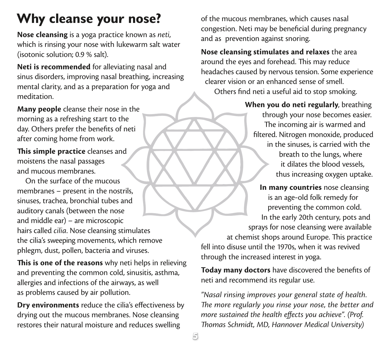## **Why cleanse your nose?**

**Nose cleansing** is a yoga practice known as *neti*, which is rinsing your nose with lukewarm salt water (isotonic solution; 0.9 % salt).

**Neti is recommended** for alleviating nasal and sinus disorders, improving nasal breathing, increasing mental clarity, and as a preparation for yoga and meditation.

**Many people** cleanse their nose in the morning as a refreshing start to the day. Others prefer the benefits of neti after coming home from work.

**This simple practice** cleanses and moistens the nasal passages and mucous membranes.

On the surface of the mucous membranes – present in the nostrils, sinuses, trachea, bronchial tubes and auditory canals (between the nose and middle ear) – are microscopic hairs called *cilia*. Nose cleansing stimulates the cilia's sweeping movements, which remove phlegm, dust, pollen, bacteria and viruses.

**This is one of the reasons** why neti helps in relieving and preventing the common cold, sinusitis, asthma, allergies and infections of the airways, as well as problems caused by air pollution.

**Dry environments** reduce the cilia's effectiveness by drying out the mucous membranes. Nose cleansing restores their natural moisture and reduces swelling

of the mucous membranes, which causes nasal congestion. Neti may be beneficial during pregnancy and as prevention against snoring.

**Nose cleansing stimulates and relaxes** the area around the eyes and forehead. This may reduce headaches caused by nervous tension. Some experience clearer vision or an enhanced sense of smell. Others find neti a useful aid to stop smoking.

> **When you do neti regularly**, breathing through your nose becomes easier. The incoming air is warmed and filtered. Nitrogen monoxide, produced in the sinuses, is carried with the breath to the lungs, where it dilates the blood vessels, thus increasing oxygen uptake.

**In many countries** nose cleansing is an age–old folk remedy for preventing the common cold. In the early 20th century, pots and sprays for nose cleansing were available at chemist shops around Europe. This practice fell into disuse until the 1970s, when it was revived through the increased interest in yoga.

**Today many doctors** have discovered the benefits of neti and recommend its regular use.

*"Nasal rinsing improves your general state of health. The more regularly you rinse your nose, the better and more sustained the health effects you achieve". (Prof. Thomas Schmidt, MD, Hannover Medical University)*